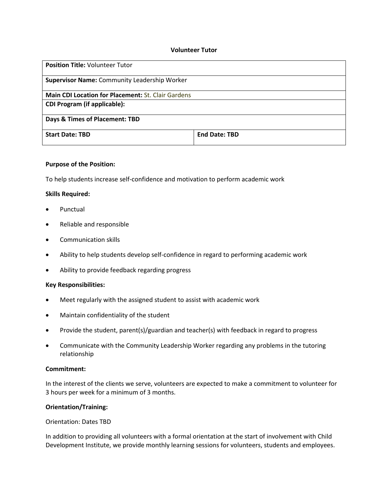### **Volunteer Tutor**

| <b>Position Title: Volunteer Tutor</b>              |                      |
|-----------------------------------------------------|----------------------|
| <b>Supervisor Name: Community Leadership Worker</b> |                      |
| Main CDI Location for Placement: St. Clair Gardens  |                      |
| <b>CDI Program (if applicable):</b>                 |                      |
| Days & Times of Placement: TBD                      |                      |
| <b>Start Date: TBD</b>                              | <b>End Date: TBD</b> |

# **Purpose of the Position:**

To help students increase self-confidence and motivation to perform academic work

### **Skills Required:**

- Punctual
- Reliable and responsible
- Communication skills
- Ability to help students develop self-confidence in regard to performing academic work
- Ability to provide feedback regarding progress

### **Key Responsibilities:**

- Meet regularly with the assigned student to assist with academic work
- Maintain confidentiality of the student
- Provide the student, parent(s)/guardian and teacher(s) with feedback in regard to progress
- Communicate with the Community Leadership Worker regarding any problems in the tutoring relationship

### **Commitment:**

In the interest of the clients we serve, volunteers are expected to make a commitment to volunteer for 3 hours per week for a minimum of 3 months.

### **Orientation/Training:**

#### Orientation: Dates TBD

In addition to providing all volunteers with a formal orientation at the start of involvement with Child Development Institute, we provide monthly learning sessions for volunteers, students and employees.